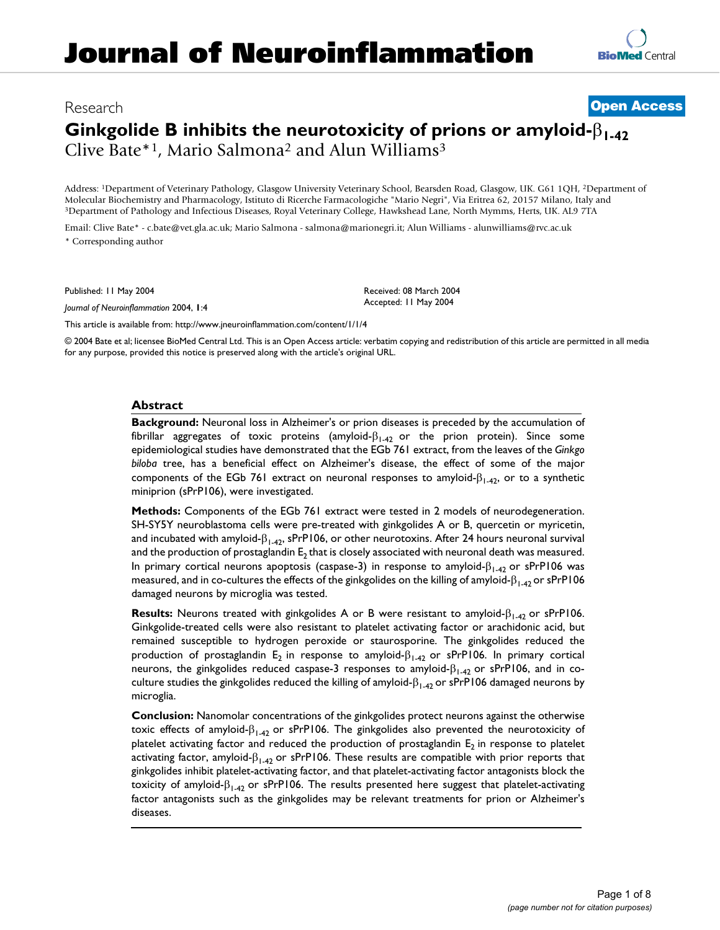# Research **[Open Access](http://www.biomedcentral.com/info/about/charter/) Ginkgolide B inhibits the neurotoxicity of prions or amyloid-**β**1-42** Clive Bate\*1, Mario Salmona2 and Alun Williams3

Address: 1Department of Veterinary Pathology, Glasgow University Veterinary School, Bearsden Road, Glasgow, UK. G61 1QH, 2Department of Molecular Biochemistry and Pharmacology, Istituto di Ricerche Farmacologiche "Mario Negri", Via Eritrea 62, 20157 Milano, Italy and 19 Pepartment of Pathology and Infectious Diseases, Royal Veterinary College, Hawkshead La

Email: Clive Bate\* - c.bate@vet.gla.ac.uk; Mario Salmona - salmona@marionegri.it; Alun Williams - alunwilliams@rvc.ac.uk \* Corresponding author

Published: 11 May 2004

*Journal of Neuroinflammation* 2004, **1**:4

[This article is available from: http://www.jneuroinflammation.com/content/1/1/4](http://www.jneuroinflammation.com/content/1/1/4)

© 2004 Bate et al; licensee BioMed Central Ltd. This is an Open Access article: verbatim copying and redistribution of this article are permitted in all media for any purpose, provided this notice is preserved along with the article's original URL.

Received: 08 March 2004 Accepted: 11 May 2004

#### **Abstract**

**Background:** Neuronal loss in Alzheimer's or prion diseases is preceded by the accumulation of fibrillar aggregates of toxic proteins (amyloid- $\beta_{1-42}$  or the prion protein). Since some epidemiological studies have demonstrated that the EGb 761 extract, from the leaves of the *Ginkgo biloba* tree, has a beneficial effect on Alzheimer's disease, the effect of some of the major components of the EGb 761 extract on neuronal responses to amyloid- $\beta_{1-42}$ , or to a synthetic miniprion (sPrP106), were investigated.

**Methods:** Components of the EGb 761 extract were tested in 2 models of neurodegeneration. SH-SY5Y neuroblastoma cells were pre-treated with ginkgolides A or B, quercetin or myricetin, and incubated with amyloid- $\beta_{1-42}$ , sPrP106, or other neurotoxins. After 24 hours neuronal survival and the production of prostaglandin  $E_2$  that is closely associated with neuronal death was measured. In primary cortical neurons apoptosis (caspase-3) in response to amyloid- $\beta_{1-42}$  or sPrP106 was measured, and in co-cultures the effects of the ginkgolides on the killing of amyloid- $\beta_{1-42}$  or sPrP106 damaged neurons by microglia was tested.

**Results:** Neurons treated with ginkgolides A or B were resistant to amyloid-β<sub>1-42</sub> or sPrP106. Ginkgolide-treated cells were also resistant to platelet activating factor or arachidonic acid, but remained susceptible to hydrogen peroxide or staurosporine. The ginkgolides reduced the production of prostaglandin E<sub>2</sub> in response to amyloid- $\beta_{1-42}$  or sPrP106. In primary cortical neurons, the ginkgolides reduced caspase-3 responses to amyloid- $\beta_{1-42}$  or sPrP106, and in coculture studies the ginkgolides reduced the killing of amyloid- $β<sub>1-42</sub>$  or sPrP106 damaged neurons by microglia.

**Conclusion:** Nanomolar concentrations of the ginkgolides protect neurons against the otherwise toxic effects of amyloid- $\beta_{1-42}$  or sPrP106. The ginkgolides also prevented the neurotoxicity of platelet activating factor and reduced the production of prostaglandin  $E_2$  in response to platelet activating factor, amyloid- $\beta_{1-42}$  or sPrP106. These results are compatible with prior reports that ginkgolides inhibit platelet-activating factor, and that platelet-activating factor antagonists block the toxicity of amyloid-β1-42 or sPrP106. The results presented here suggest that platelet-activating factor antagonists such as the ginkgolides may be relevant treatments for prion or Alzheimer's diseases.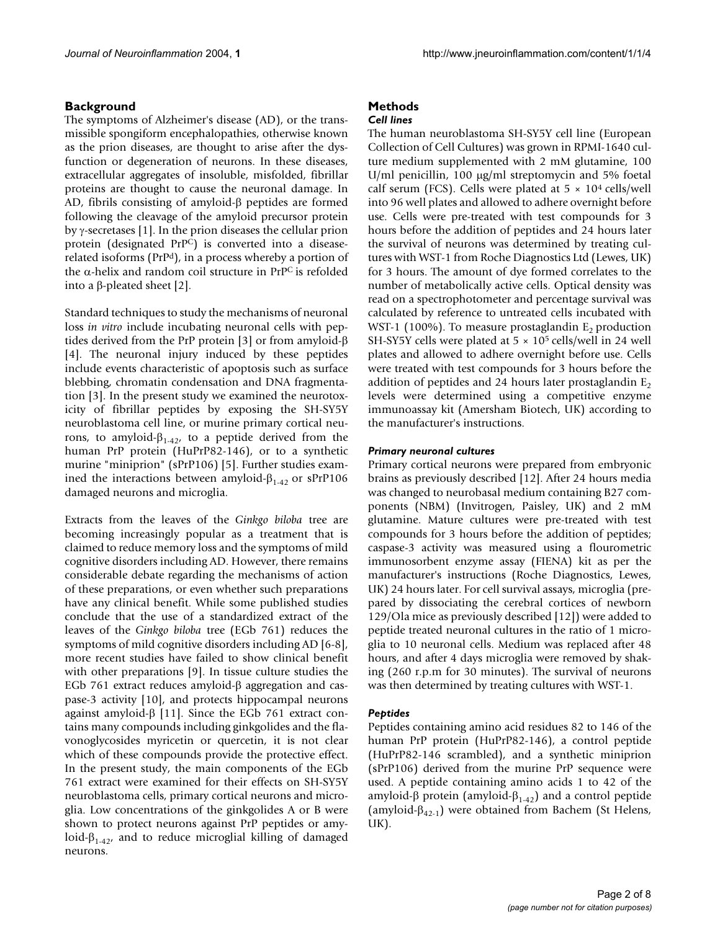### **Background**

The symptoms of Alzheimer's disease (AD), or the transmissible spongiform encephalopathies, otherwise known as the prion diseases, are thought to arise after the dysfunction or degeneration of neurons. In these diseases, extracellular aggregates of insoluble, misfolded, fibrillar proteins are thought to cause the neuronal damage. In AD, fibrils consisting of amyloid-β peptides are formed following the cleavage of the amyloid precursor protein by γ-secretases [1]. In the prion diseases the cellular prion protein (designated PrPC) is converted into a diseaserelated isoforms (PrPd), in a process whereby a portion of the α-helix and random coil structure in  $PrP<sup>C</sup>$  is refolded into a β-pleated sheet [2].

Standard techniques to study the mechanisms of neuronal loss *in vitro* include incubating neuronal cells with peptides derived from the PrP protein [3] or from amyloid-β [4]. The neuronal injury induced by these peptides include events characteristic of apoptosis such as surface blebbing, chromatin condensation and DNA fragmentation [3]. In the present study we examined the neurotoxicity of fibrillar peptides by exposing the SH-SY5Y neuroblastoma cell line, or murine primary cortical neurons, to amyloid- $β_{1-42}$ , to a peptide derived from the human PrP protein (HuPrP82-146), or to a synthetic murine "miniprion" (sPrP106) [5]. Further studies examined the interactions between amyloid- $β<sub>1-42</sub>$  or sPrP106 damaged neurons and microglia.

Extracts from the leaves of the *Ginkgo biloba* tree are becoming increasingly popular as a treatment that is claimed to reduce memory loss and the symptoms of mild cognitive disorders including AD. However, there remains considerable debate regarding the mechanisms of action of these preparations, or even whether such preparations have any clinical benefit. While some published studies conclude that the use of a standardized extract of the leaves of the *Ginkgo biloba* tree (EGb 761) reduces the symptoms of mild cognitive disorders including AD [6-8], more recent studies have failed to show clinical benefit with other preparations [9]. In tissue culture studies the EGb 761 extract reduces amyloid-β aggregation and caspase-3 activity [10], and protects hippocampal neurons against amyloid-β [11]. Since the EGb 761 extract contains many compounds including ginkgolides and the flavonoglycosides myricetin or quercetin, it is not clear which of these compounds provide the protective effect. In the present study, the main components of the EGb 761 extract were examined for their effects on SH-SY5Y neuroblastoma cells, primary cortical neurons and microglia. Low concentrations of the ginkgolides A or B were shown to protect neurons against PrP peptides or amyloid- $\beta_{1-42}$ , and to reduce microglial killing of damaged neurons.

## **Methods**

#### *Cell lines*

The human neuroblastoma SH-SY5Y cell line (European Collection of Cell Cultures) was grown in RPMI-1640 culture medium supplemented with 2 mM glutamine, 100 U/ml penicillin, 100 µg/ml streptomycin and 5% foetal calf serum (FCS). Cells were plated at  $5 \times 10^4$  cells/well into 96 well plates and allowed to adhere overnight before use. Cells were pre-treated with test compounds for 3 hours before the addition of peptides and 24 hours later the survival of neurons was determined by treating cultures with WST-1 from Roche Diagnostics Ltd (Lewes, UK) for 3 hours. The amount of dye formed correlates to the number of metabolically active cells. Optical density was read on a spectrophotometer and percentage survival was calculated by reference to untreated cells incubated with WST-1 (100%). To measure prostaglandin  $E<sub>2</sub>$  production SH-SY5Y cells were plated at  $5 \times 10^5$  cells/well in 24 well plates and allowed to adhere overnight before use. Cells were treated with test compounds for 3 hours before the addition of peptides and 24 hours later prostaglandin  $E<sub>2</sub>$ levels were determined using a competitive enzyme immunoassay kit (Amersham Biotech, UK) according to the manufacturer's instructions.

#### *Primary neuronal cultures*

Primary cortical neurons were prepared from embryonic brains as previously described [12]. After 24 hours media was changed to neurobasal medium containing B27 components (NBM) (Invitrogen, Paisley, UK) and 2 mM glutamine. Mature cultures were pre-treated with test compounds for 3 hours before the addition of peptides; caspase-3 activity was measured using a flourometric immunosorbent enzyme assay (FIENA) kit as per the manufacturer's instructions (Roche Diagnostics, Lewes, UK) 24 hours later. For cell survival assays, microglia (prepared by dissociating the cerebral cortices of newborn 129/Ola mice as previously described [12]) were added to peptide treated neuronal cultures in the ratio of 1 microglia to 10 neuronal cells. Medium was replaced after 48 hours, and after 4 days microglia were removed by shaking (260 r.p.m for 30 minutes). The survival of neurons was then determined by treating cultures with WST-1.

#### *Peptides*

Peptides containing amino acid residues 82 to 146 of the human PrP protein (HuPrP82-146), a control peptide (HuPrP82-146 scrambled), and a synthetic miniprion (sPrP106) derived from the murine PrP sequence were used. A peptide containing amino acids 1 to 42 of the amyloid-β protein (amyloid-β<sub>1-42</sub>) and a control peptide (amyloid- $\beta_{42-1}$ ) were obtained from Bachem (St Helens, UK).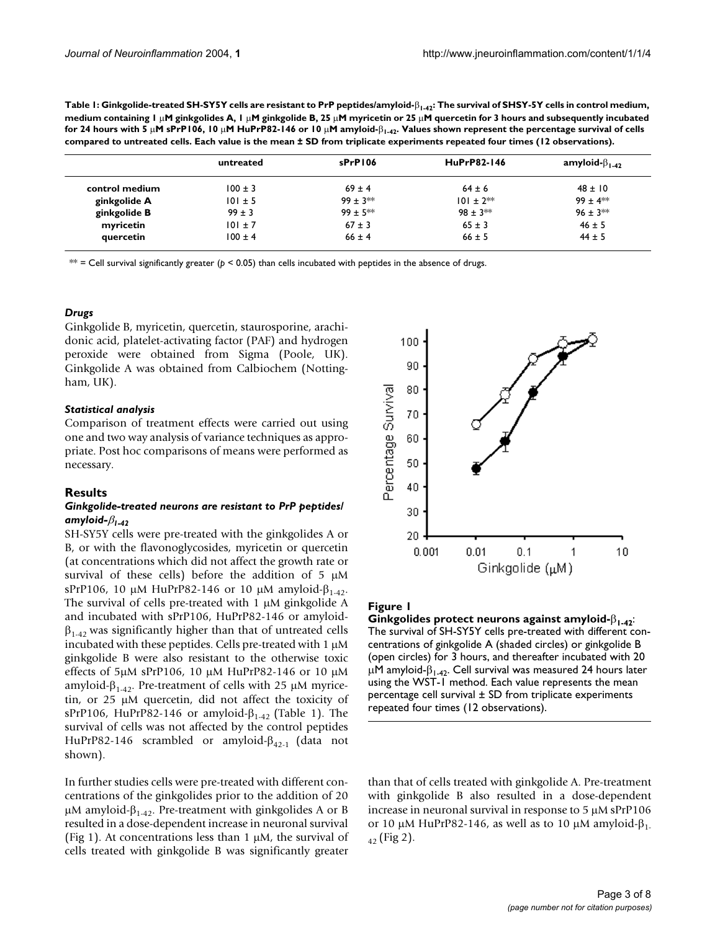<span id="page-2-0"></span>**Table 1: Ginkgolide-treated SH-SY5Y cells are resistant to PrP peptides/amyloid-**β**1-42: The survival of SHSY-5Y cells in control medium, medium containing 1** µ**M ginkgolides A, 1** µ**M ginkgolide B, 25** µ**M myricetin or 25** µ**M quercetin for 3 hours and subsequently incubated for 24 hours with 5** µ**M sPrP106, 10** µ**M HuPrP82-146 or 10** µ**M amyloid-**β**1-42. Values shown represent the percentage survival of cells compared to untreated cells. Each value is the mean ± SD from triplicate experiments repeated four times (12 observations).**

|                | untreated   | sPrP106    | HuPrP82-146   | amyloid- $\beta_{1-42}$ |
|----------------|-------------|------------|---------------|-------------------------|
| control medium | $100 \pm 3$ | $69 \pm 4$ | $64 \pm 6$    | $48 \pm 10$             |
| ginkgolide A   | $101 \pm 5$ | $99 + 3**$ | $101 \pm 2**$ | $99 + 4$ **             |
| ginkgolide B   | $99 \pm 3$  | $99 + 5**$ | $98 + 3**$    | $96 \pm 3$ **           |
| myricetin      | $101 \pm 7$ | $67 \pm 3$ | $65 \pm 3$    | $46 \pm 5$              |
| quercetin      | $100 \pm 4$ | $66 \pm 4$ | $66 \pm 5$    | $44 \pm 5$              |

 $**$  = Cell survival significantly greater ( $p < 0.05$ ) than cells incubated with peptides in the absence of drugs.

#### *Drugs*

Ginkgolide B, myricetin, quercetin, staurosporine, arachidonic acid, platelet-activating factor (PAF) and hydrogen peroxide were obtained from Sigma (Poole, UK). Ginkgolide A was obtained from Calbiochem (Nottingham, UK).

#### *Statistical analysis*

Comparison of treatment effects were carried out using one and two way analysis of variance techniques as appropriate. Post hoc comparisons of means were performed as necessary.

#### **Results**

#### *Ginkgolide-treated neurons are resistant to PrP peptides/ amyloid-*β*1-42*

SH-SY5Y cells were pre-treated with the ginkgolides A or B, or with the flavonoglycosides, myricetin or quercetin (at concentrations which did not affect the growth rate or survival of these cells) before the addition of 5  $\mu$ M sPrP106, 10 μM HuPrP82-146 or 10 μM amyloid- $β_{1.42}$ . The survival of cells pre-treated with 1 µM ginkgolide A and incubated with sPrP106, HuPrP82-146 or amyloid- $\beta_{1-42}$  was significantly higher than that of untreated cells incubated with these peptides. Cells pre-treated with 1 µM ginkgolide B were also resistant to the otherwise toxic effects of 5µM sPrP106, 10 µM HuPrP82-146 or 10 µM amyloid-β<sub>1-42</sub>. Pre-treatment of cells with 25 μM myricetin, or 25 µM quercetin, did not affect the toxicity of sPrP106, HuPrP82-146 or amyloid- $\beta_{1-42}$  (Table [1\)](#page-2-0). The survival of cells was not affected by the control peptides HuPrP82-146 scrambled or amyloid-β42-1 (data not shown).

In further studies cells were pre-treated with different concentrations of the ginkgolides prior to the addition of 20 μM amyloid- $β<sub>1-42</sub>$ . Pre-treatment with ginkgolides A or B resulted in a dose-dependent increase in neuronal survival (Fig 1). At concentrations less than 1  $\mu$ M, the survival of cells treated with ginkgolide B was significantly greater



#### Figure 1

**Ginkgolides protect neurons against amyloid-**β**1-42**: The survival of SH-SY5Y cells pre-treated with different concentrations of ginkgolide A (shaded circles) or ginkgolide B (open circles) for 3 hours, and thereafter incubated with 20  $μM$  amyloid- $β<sub>1-42</sub>$ . Cell survival was measured 24 hours later using the WST-1 method. Each value represents the mean percentage cell survival ± SD from triplicate experiments repeated four times (12 observations).

than that of cells treated with ginkgolide A. Pre-treatment with ginkgolide B also resulted in a dose-dependent increase in neuronal survival in response to 5 µM sPrP106 or 10 μM HuPrP82-146, as well as to 10 μM amyloid- $β_1$ .  $_{42}$  (Fig 2).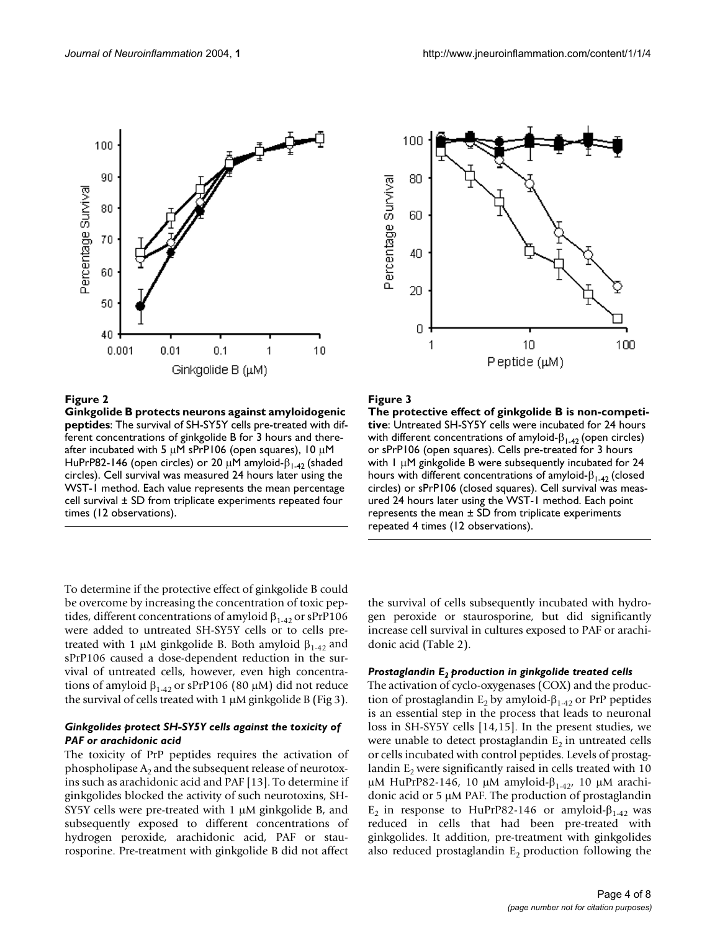

#### **Figure 2**

**Ginkgolide B protects neurons against amyloidogenic peptides**: The survival of SH-SY5Y cells pre-treated with different concentrations of ginkgolide B for 3 hours and thereafter incubated with 5  $\mu$ M sPrP106 (open squares), 10  $\mu$ M HuPrP82-146 (open circles) or 20  $\mu$ M amyloid- $\beta_{1-42}$  (shaded circles). Cell survival was measured 24 hours later using the WST-1 method. Each value represents the mean percentage cell survival ± SD from triplicate experiments repeated four times (12 observations).

To determine if the protective effect of ginkgolide B could be overcome by increasing the concentration of toxic peptides, different concentrations of amyloid  $\beta_{1-42}$  or sPrP106 were added to untreated SH-SY5Y cells or to cells pretreated with 1 μM ginkgolide B. Both amyloid  $β_{1-42}$  and sPrP106 caused a dose-dependent reduction in the survival of untreated cells, however, even high concentrations of amyloid  $β_{1-42}$  or sPrP106 (80 μM) did not reduce the survival of cells treated with  $1 \mu M$  ginkgolide B (Fig 3).

#### *Ginkgolides protect SH-SY5Y cells against the toxicity of PAF or arachidonic acid*

The toxicity of PrP peptides requires the activation of phospholipase  $A_2$  and the subsequent release of neurotoxins such as arachidonic acid and PAF [13]. To determine if ginkgolides blocked the activity of such neurotoxins, SH-SY5Y cells were pre-treated with 1  $\mu$ M ginkgolide B, and subsequently exposed to different concentrations of hydrogen peroxide, arachidonic acid, PAF or staurosporine. Pre-treatment with ginkgolide B did not affect



#### Figure 3

**The protective effect of ginkgolide B is non-competitive**: Untreated SH-SY5Y cells were incubated for 24 hours with different concentrations of amyloid- $\beta_{1-42}$  (open circles) or sPrP106 (open squares). Cells pre-treated for 3 hours with 1 µM ginkgolide B were subsequently incubated for 24 hours with different concentrations of amyloid- $\beta_{1-42}$  (closed circles) or sPrP106 (closed squares). Cell survival was measured 24 hours later using the WST-1 method. Each point represents the mean  $\pm$  SD from triplicate experiments repeated 4 times (12 observations).

the survival of cells subsequently incubated with hydrogen peroxide or staurosporine, but did significantly increase cell survival in cultures exposed to PAF or arachidonic acid (Table [2](#page-4-0)).

#### *Prostaglandin E2 production in ginkgolide treated cells*

The activation of cyclo-oxygenases (COX) and the production of prostaglandin  $E_2$  by amyloid- $\beta_{1-42}$  or PrP peptides is an essential step in the process that leads to neuronal loss in SH-SY5Y cells [14,15]. In the present studies, we were unable to detect prostaglandin  $E_2$  in untreated cells or cells incubated with control peptides. Levels of prostaglandin  $E<sub>2</sub>$  were significantly raised in cells treated with 10 μΜ HuPrP82-146, 10 μM amyloid- $β$ <sub>1-42</sub>, 10 μM arachidonic acid or 5 µM PAF. The production of prostaglandin E<sub>2</sub> in response to HuPrP82-146 or amyloid- $β<sub>1-42</sub>$  was reduced in cells that had been pre-treated with ginkgolides. It addition, pre-treatment with ginkgolides also reduced prostaglandin  $E_2$  production following the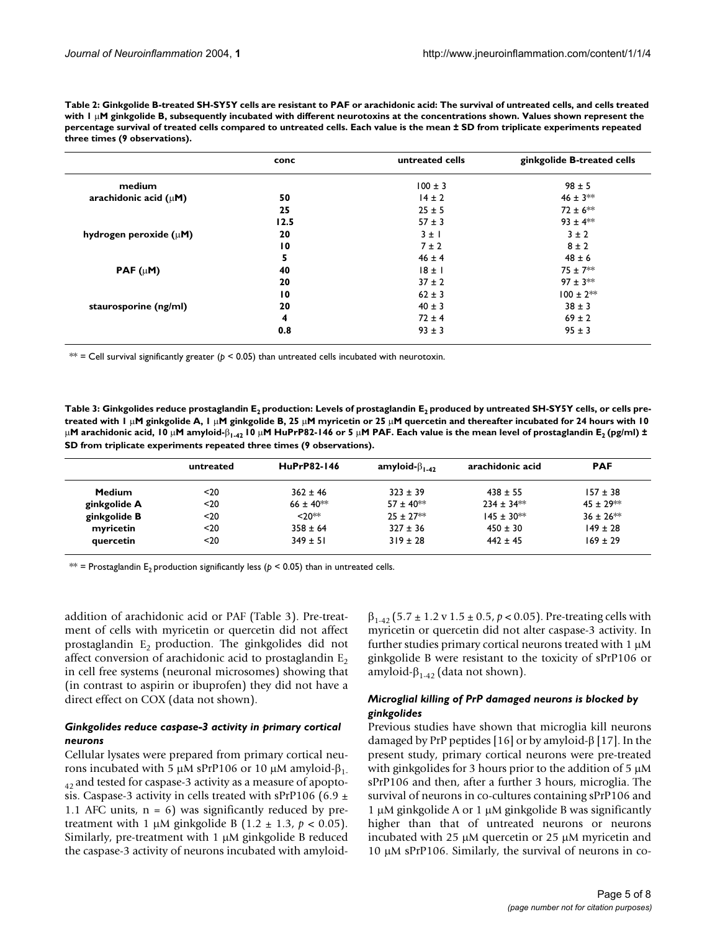<span id="page-4-0"></span>

| Table 2: Ginkgolide B-treated SH-SY5Y cells are resistant to PAF or arachidonic acid: The survival of untreated cells, and cells treated    |
|---------------------------------------------------------------------------------------------------------------------------------------------|
| with $\Gamma \mu$ M ginkgolide B, subsequently incubated with different neurotoxins at the concentrations shown. Values shown represent the |
| percentage survival of treated cells compared to untreated cells. Each value is the mean ± SD from triplicate experiments repeated          |
| three times (9 observations).                                                                                                               |

|                             | conc            | untreated cells | ginkgolide B-treated cells |
|-----------------------------|-----------------|-----------------|----------------------------|
| medium                      |                 | $100 \pm 3$     | $98 \pm 5$                 |
| arachidonic acid $(\mu M)$  | 50              | $14 \pm 2$      | $46 \pm 3**$               |
|                             | 25              | $25 \pm 5$      | $72 \pm 6$ **              |
|                             | 12.5            | $57 \pm 3$      | $93 \pm 4$ **              |
| hydrogen peroxide $(\mu M)$ | 20              | $3 \pm 1$       | $3 \pm 2$                  |
|                             | $\overline{10}$ | $7 \pm 2$       | $8 \pm 2$                  |
|                             | 5               | $46 \pm 4$      | $48 \pm 6$                 |
| PAF $(\mu M)$               | 40              | $18 \pm 1$      | $75 \pm 7**$               |
|                             | 20              | $37 \pm 2$      | $97 \pm 3**$               |
|                             | $\overline{10}$ | $62 \pm 3$      | $100 \pm 2**$              |
| staurosporine (ng/ml)       | 20              | $40 \pm 3$      | $38 \pm 3$                 |
|                             | 4               | $72 \pm 4$      | $69 \pm 2$                 |
|                             | 0.8             | $93 \pm 3$      | $95 \pm 3$                 |

\*\* = Cell survival significantly greater ( $p < 0.05$ ) than untreated cells incubated with neurotoxin.

<span id="page-4-1"></span>Table 3: Ginkgolides reduce prostaglandin E<sub>2</sub> production: Levels of prostaglandin E<sub>2</sub> produced by untreated SH-SY5Y cells, or cells pre**treated with 1** µ**M ginkgolide A, 1** µ**M ginkgolide B, 25** µ**M myricetin or 25** µ**M quercetin and thereafter incubated for 24 hours with 10**  µM arachidonic acid, 10 μM amyloid-β<sub>1-42</sub> 10 μM HuPrP82-146 or 5 μM PAF. Each value is the mean level of prostaglandin E<sub>2</sub> (pg/ml) ± **SD from triplicate experiments repeated three times (9 observations).**

|              | untreated | HuPrP82-146    | amyloid- $\beta_{1.42}$ | arachidonic acid  | <b>PAF</b>     |
|--------------|-----------|----------------|-------------------------|-------------------|----------------|
| Medium       | $20$      | $362 \pm 46$   | $323 \pm 39$            | $438 \pm 55$      | $157 \pm 38$   |
| ginkgolide A | $20$      | $66 \pm 40$ ** | $57 + 40**$             | $234 + 34**$      | $45 + 29**$    |
| ginkgolide B | $20$      | $20**$         | $25 + 27**$             | $145 \pm 30^{**}$ | $36 \pm 26$ ** |
| myricetin    | $20$      | $358 \pm 64$   | $327 \pm 36$            | $450 \pm 30$      | $149 \pm 28$   |
| quercetin    | $20$      | $349 \pm 51$   | $319 \pm 28$            | $442 \pm 45$      | $169 \pm 29$   |

\*\* = Prostaglandin E<sub>2</sub> production significantly less ( $p$  < 0.05) than in untreated cells.

addition of arachidonic acid or PAF (Table [3\)](#page-4-1). Pre-treatment of cells with myricetin or quercetin did not affect prostaglandin  $E_2$  production. The ginkgolides did not affect conversion of arachidonic acid to prostaglandin  $E_2$ in cell free systems (neuronal microsomes) showing that (in contrast to aspirin or ibuprofen) they did not have a direct effect on COX (data not shown).

#### *Ginkgolides reduce caspase-3 activity in primary cortical neurons*

Cellular lysates were prepared from primary cortical neurons incubated with 5 μM sPrP106 or 10 μM amyloid- $β_1$ .  $_{42}$  and tested for caspase-3 activity as a measure of apoptosis. Caspase-3 activity in cells treated with sPrP106 (6.9  $\pm$ 1.1 AFC units,  $n = 6$ ) was significantly reduced by pretreatment with 1  $\mu$ M ginkgolide B (1.2  $\pm$  1.3,  $p < 0.05$ ). Similarly, pre-treatment with 1  $\mu$ M ginkgolide B reduced the caspase-3 activity of neurons incubated with amyloidβ1-42 (5.7 ± 1.2 v 1.5 ± 0.5, *p* < 0.05). Pre-treating cells with myricetin or quercetin did not alter caspase-3 activity. In further studies primary cortical neurons treated with  $1 \mu M$ ginkgolide B were resistant to the toxicity of sPrP106 or amyloid-β<sub>1-42</sub> (data not shown).

#### *Microglial killing of PrP damaged neurons is blocked by ginkgolides*

Previous studies have shown that microglia kill neurons damaged by PrP peptides [16] or by amyloid-β [17]. In the present study, primary cortical neurons were pre-treated with ginkgolides for 3 hours prior to the addition of 5  $\mu$ M sPrP106 and then, after a further 3 hours, microglia. The survival of neurons in co-cultures containing sPrP106 and 1 µM ginkgolide A or 1 µM ginkgolide B was significantly higher than that of untreated neurons or neurons incubated with 25 µM quercetin or 25 µM myricetin and 10 µM sPrP106. Similarly, the survival of neurons in co-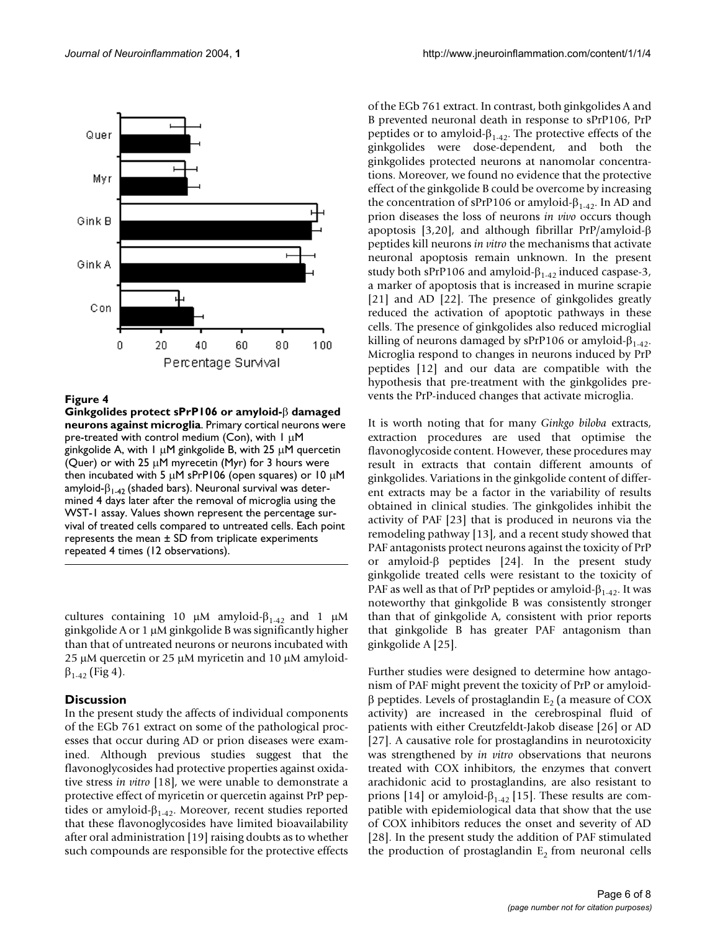

#### Figure 4

**Ginkgolides protect sPrP106 or amyloid-**β **damaged neurons against microglia**. Primary cortical neurons were pre-treated with control medium (Con), with 1 µM ginkgolide A, with  $1 \mu$ M ginkgolide B, with 25  $\mu$ M quercetin (Quer) or with 25  $\mu$ M myrecetin (Myr) for 3 hours were then incubated with 5  $\mu$ M sPrP106 (open squares) or 10  $\mu$ M amyloid- $\beta_{1-42}$  (shaded bars). Neuronal survival was determined 4 days later after the removal of microglia using the WST-1 assay. Values shown represent the percentage survival of treated cells compared to untreated cells. Each point represents the mean  $\pm$  SD from triplicate experiments repeated 4 times (12 observations).

cultures containing 10 μM amyloid- $β<sub>1-42</sub>$  and 1 μM ginkgolide A or 1 µM ginkgolide B was significantly higher than that of untreated neurons or neurons incubated with 25 µM quercetin or 25 µM myricetin and 10 µM amyloid- $\beta_{1-42}$  (Fig 4).

#### **Discussion**

In the present study the affects of individual components of the EGb 761 extract on some of the pathological processes that occur during AD or prion diseases were examined. Although previous studies suggest that the flavonoglycosides had protective properties against oxidative stress *in vitro* [18], we were unable to demonstrate a protective effect of myricetin or quercetin against PrP peptides or amyloid- $\beta_{1-42}$ . Moreover, recent studies reported that these flavonoglycosides have limited bioavailability after oral administration [19] raising doubts as to whether such compounds are responsible for the protective effects

of the EGb 761 extract. In contrast, both ginkgolides A and B prevented neuronal death in response to sPrP106, PrP peptides or to amyloid- $β<sub>1-42</sub>$ . The protective effects of the ginkgolides were dose-dependent, and both the ginkgolides protected neurons at nanomolar concentrations. Moreover, we found no evidence that the protective effect of the ginkgolide B could be overcome by increasing the concentration of sPrP106 or amyloid- $\beta_{1-42}$ . In AD and prion diseases the loss of neurons *in vivo* occurs though apoptosis [3,20], and although fibrillar PrP/amyloid-β peptides kill neurons *in vitro* the mechanisms that activate neuronal apoptosis remain unknown. In the present study both sPrP106 and amyloid- $β_{1-42}$  induced caspase-3, a marker of apoptosis that is increased in murine scrapie [21] and AD [22]. The presence of ginkgolides greatly reduced the activation of apoptotic pathways in these cells. The presence of ginkgolides also reduced microglial killing of neurons damaged by sPrP106 or amyloid- $β_{1.42}$ . Microglia respond to changes in neurons induced by PrP peptides [12] and our data are compatible with the hypothesis that pre-treatment with the ginkgolides prevents the PrP-induced changes that activate microglia.

It is worth noting that for many *Ginkgo biloba* extracts, extraction procedures are used that optimise the flavonoglycoside content. However, these procedures may result in extracts that contain different amounts of ginkgolides. Variations in the ginkgolide content of different extracts may be a factor in the variability of results obtained in clinical studies. The ginkgolides inhibit the activity of PAF [23] that is produced in neurons via the remodeling pathway [13], and a recent study showed that PAF antagonists protect neurons against the toxicity of PrP or amyloid-β peptides [24]. In the present study ginkgolide treated cells were resistant to the toxicity of PAF as well as that of PrP peptides or amyloid- $\beta_{1-4}$ . It was noteworthy that ginkgolide B was consistently stronger than that of ginkgolide A, consistent with prior reports that ginkgolide B has greater PAF antagonism than ginkgolide A [25].

Further studies were designed to determine how antagonism of PAF might prevent the toxicity of PrP or amyloidβ peptides. Levels of prostaglandin  $E_2$  (a measure of COX activity) are increased in the cerebrospinal fluid of patients with either Creutzfeldt-Jakob disease [26] or AD [27]. A causative role for prostaglandins in neurotoxicity was strengthened by *in vitro* observations that neurons treated with COX inhibitors, the enzymes that convert arachidonic acid to prostaglandins, are also resistant to prions [14] or amyloid- $\beta_{1-42}$  [15]. These results are compatible with epidemiological data that show that the use of COX inhibitors reduces the onset and severity of AD [28]. In the present study the addition of PAF stimulated the production of prostaglandin  $E_2$  from neuronal cells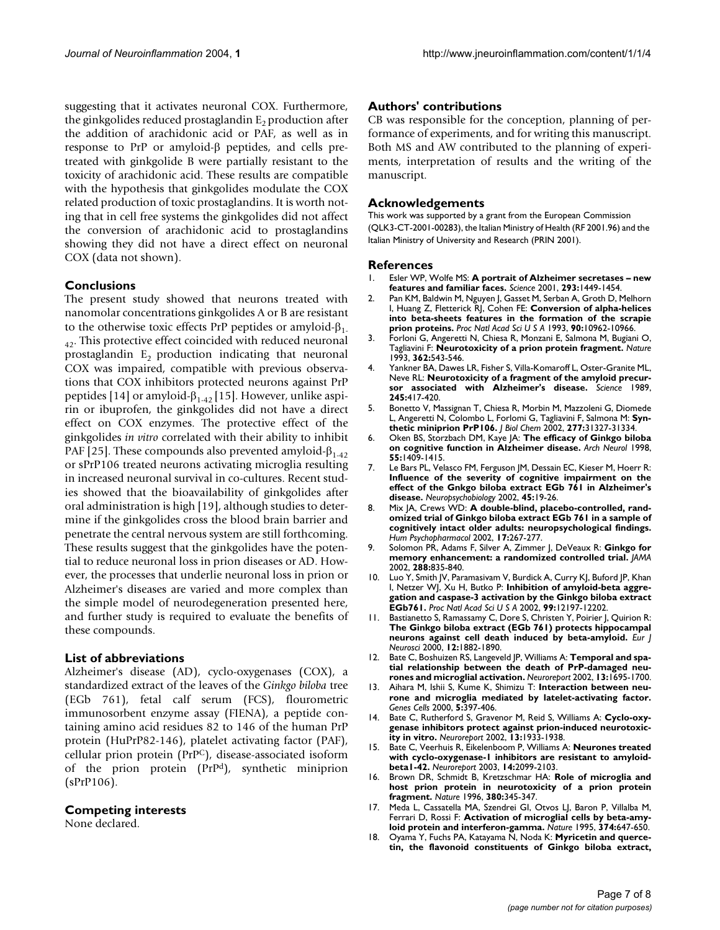suggesting that it activates neuronal COX. Furthermore, the ginkgolides reduced prostaglandin  $E<sub>2</sub>$  production after the addition of arachidonic acid or PAF, as well as in response to PrP or amyloid-β peptides, and cells pretreated with ginkgolide B were partially resistant to the toxicity of arachidonic acid. These results are compatible with the hypothesis that ginkgolides modulate the COX related production of toxic prostaglandins. It is worth noting that in cell free systems the ginkgolides did not affect the conversion of arachidonic acid to prostaglandins showing they did not have a direct effect on neuronal COX (data not shown).

#### **Conclusions**

The present study showed that neurons treated with nanomolar concentrations ginkgolides A or B are resistant to the otherwise toxic effects PrP peptides or amyloid- $β_1$ .  $_{42}$ . This protective effect coincided with reduced neuronal prostaglandin  $E_2$  production indicating that neuronal COX was impaired, compatible with previous observations that COX inhibitors protected neurons against PrP peptides [14] or amyloid- $β_{1.42}$  [15]. However, unlike aspirin or ibuprofen, the ginkgolides did not have a direct effect on COX enzymes. The protective effect of the ginkgolides *in vitro* correlated with their ability to inhibit PAF [25]. These compounds also prevented amyloid- $β<sub>1-42</sub>$ or sPrP106 treated neurons activating microglia resulting in increased neuronal survival in co-cultures. Recent studies showed that the bioavailability of ginkgolides after oral administration is high [19], although studies to determine if the ginkgolides cross the blood brain barrier and penetrate the central nervous system are still forthcoming. These results suggest that the ginkgolides have the potential to reduce neuronal loss in prion diseases or AD. However, the processes that underlie neuronal loss in prion or Alzheimer's diseases are varied and more complex than the simple model of neurodegeneration presented here, and further study is required to evaluate the benefits of these compounds.

#### **List of abbreviations**

Alzheimer's disease (AD), cyclo-oxygenases (COX), a standardized extract of the leaves of the *Ginkgo biloba* tree (EGb 761), fetal calf serum (FCS), flourometric immunosorbent enzyme assay (FIENA), a peptide containing amino acid residues 82 to 146 of the human PrP protein (HuPrP82-146), platelet activating factor (PAF), cellular prion protein (PrPC), disease-associated isoform of the prion protein (PrPd), synthetic miniprion (sPrP106).

#### **Competing interests**

None declared.

#### **Authors' contributions**

CB was responsible for the conception, planning of performance of experiments, and for writing this manuscript. Both MS and AW contributed to the planning of experiments, interpretation of results and the writing of the manuscript.

#### **Acknowledgements**

This work was supported by a grant from the European Commission (QLK3-CT-2001-00283), the Italian Ministry of Health (RF 2001.96) and the Italian Ministry of University and Research (PRIN 2001).

#### **References**

- 1. Esler WP, Wolfe MS: **[A portrait of Alzheimer secretases new](http://www.ncbi.nlm.nih.gov/entrez/query.fcgi?cmd=Retrieve&db=PubMed&dopt=Abstract&list_uids=10.1126/science.1064638) [features and familiar faces](http://www.ncbi.nlm.nih.gov/entrez/query.fcgi?cmd=Retrieve&db=PubMed&dopt=Abstract&list_uids=10.1126/science.1064638)[.](http://www.ncbi.nlm.nih.gov/entrez/query.fcgi?cmd=Retrieve&db=PubMed&dopt=Abstract&list_uids=11520976)** *Science* 2001, **293:**1449-1454.
- 2. Pan KM, Baldwin M, Nguyen J, Gasset M, Serban A, Groth D, Melhorn I, Huang Z, Fletterick RJ, Cohen FE: **[Conversion of alpha-helices](http://www.ncbi.nlm.nih.gov/entrez/query.fcgi?cmd=Retrieve&db=PubMed&dopt=Abstract&list_uids=7902575) [into beta-sheets features in the formation of the scrapie](http://www.ncbi.nlm.nih.gov/entrez/query.fcgi?cmd=Retrieve&db=PubMed&dopt=Abstract&list_uids=7902575) [prion proteins.](http://www.ncbi.nlm.nih.gov/entrez/query.fcgi?cmd=Retrieve&db=PubMed&dopt=Abstract&list_uids=7902575)** *Proc Natl Acad Sci U S A* 1993, **90:**10962-10966.
- 3. Forloni G, Angeretti N, Chiesa R, Monzani E, Salmona M, Bugiani O, Tagliavini F: **[Neurotoxicity of a prion protein fragment](http://www.ncbi.nlm.nih.gov/entrez/query.fcgi?cmd=Retrieve&db=PubMed&dopt=Abstract&list_uids=10.1038/362543a0)[.](http://www.ncbi.nlm.nih.gov/entrez/query.fcgi?cmd=Retrieve&db=PubMed&dopt=Abstract&list_uids=8464494)** *Nature* 1993, **362:**543-546.
- 4. Yankner BA, Dawes LR, Fisher S, Villa-Komaroff L, Oster-Granite ML, Neve RL: **[Neurotoxicity of a fragment of the amyloid precur](http://www.ncbi.nlm.nih.gov/entrez/query.fcgi?cmd=Retrieve&db=PubMed&dopt=Abstract&list_uids=2474201)[sor associated with Alzheimer's disease.](http://www.ncbi.nlm.nih.gov/entrez/query.fcgi?cmd=Retrieve&db=PubMed&dopt=Abstract&list_uids=2474201)** *Science* 1989, **245:**417-420.
- 5. Bonetto V, Massignan T, Chiesa R, Morbin M, Mazzoleni G, Diomede L, Angeretti N, Colombo L, Forlomi G, Tagliavini F, Salmona M: **[Syn](http://www.ncbi.nlm.nih.gov/entrez/query.fcgi?cmd=Retrieve&db=PubMed&dopt=Abstract&list_uids=10.1074/jbc.M203275200)[thetic miniprion PrP106](http://www.ncbi.nlm.nih.gov/entrez/query.fcgi?cmd=Retrieve&db=PubMed&dopt=Abstract&list_uids=10.1074/jbc.M203275200)[.](http://www.ncbi.nlm.nih.gov/entrez/query.fcgi?cmd=Retrieve&db=PubMed&dopt=Abstract&list_uids=12058037)** *J Biol Chem* 2002, **277:**31327-31334.
- 6. Oken BS, Storzbach DM, Kaye JA: **[The efficacy of Ginkgo biloba](http://www.ncbi.nlm.nih.gov/entrez/query.fcgi?cmd=Retrieve&db=PubMed&dopt=Abstract&list_uids=10.1001/archneur.55.11.1409) [on cognitive function in Alzheimer disease](http://www.ncbi.nlm.nih.gov/entrez/query.fcgi?cmd=Retrieve&db=PubMed&dopt=Abstract&list_uids=10.1001/archneur.55.11.1409)[.](http://www.ncbi.nlm.nih.gov/entrez/query.fcgi?cmd=Retrieve&db=PubMed&dopt=Abstract&list_uids=9823823)** *Arch Neurol* 1998, **55:**1409-1415.
- 7. Le Bars PL, Velasco FM, Ferguson JM, Dessain EC, Kieser M, Hoerr R: **[Influence of the severity of cognitive impairment on the](http://www.ncbi.nlm.nih.gov/entrez/query.fcgi?cmd=Retrieve&db=PubMed&dopt=Abstract&list_uids=10.1159/000048668) effect of the Gnkgo biloba extract EGb 761 in Alzheimer's [disease](http://www.ncbi.nlm.nih.gov/entrez/query.fcgi?cmd=Retrieve&db=PubMed&dopt=Abstract&list_uids=10.1159/000048668)[.](http://www.ncbi.nlm.nih.gov/entrez/query.fcgi?cmd=Retrieve&db=PubMed&dopt=Abstract&list_uids=11803237)** *Neuropsychobiology* 2002, **45:**19-26.
- 8. Mix JA, Crews WD: **[A double-blind, placebo-controlled, rand](http://www.ncbi.nlm.nih.gov/entrez/query.fcgi?cmd=Retrieve&db=PubMed&dopt=Abstract&list_uids=10.1002/hup.412)[omized trial of Ginkgo biloba extract EGb 761 in a sample of](http://www.ncbi.nlm.nih.gov/entrez/query.fcgi?cmd=Retrieve&db=PubMed&dopt=Abstract&list_uids=10.1002/hup.412) [cognitively intact older adults: neuropsychological findings](http://www.ncbi.nlm.nih.gov/entrez/query.fcgi?cmd=Retrieve&db=PubMed&dopt=Abstract&list_uids=10.1002/hup.412)[.](http://www.ncbi.nlm.nih.gov/entrez/query.fcgi?cmd=Retrieve&db=PubMed&dopt=Abstract&list_uids=12404671)** *Hum Psychopharmacol* 2002, **17:**267-277.
- 9. Solomon PR, Adams F, Silver A, Zimmer J, DeVeaux R: **[Ginkgo for](http://www.ncbi.nlm.nih.gov/entrez/query.fcgi?cmd=Retrieve&db=PubMed&dopt=Abstract&list_uids=10.1001/jama.288.7.835) [memory enhancement: a randomized controlled trial](http://www.ncbi.nlm.nih.gov/entrez/query.fcgi?cmd=Retrieve&db=PubMed&dopt=Abstract&list_uids=10.1001/jama.288.7.835)[.](http://www.ncbi.nlm.nih.gov/entrez/query.fcgi?cmd=Retrieve&db=PubMed&dopt=Abstract&list_uids=12186600)** *JAMA* 2002, **288:**835-840.
- 10. Luo Y, Smith JV, Paramasivam V, Burdick A, Curry KJ, Buford JP, Khan I, Netzer WJ, Xu H, Butko P: **[Inhibition of amyloid-beta aggre](http://www.ncbi.nlm.nih.gov/entrez/query.fcgi?cmd=Retrieve&db=PubMed&dopt=Abstract&list_uids=10.1073/pnas.182425199)[gation and caspase-3 activation by the Ginkgo biloba extract](http://www.ncbi.nlm.nih.gov/entrez/query.fcgi?cmd=Retrieve&db=PubMed&dopt=Abstract&list_uids=10.1073/pnas.182425199) [EGb761](http://www.ncbi.nlm.nih.gov/entrez/query.fcgi?cmd=Retrieve&db=PubMed&dopt=Abstract&list_uids=10.1073/pnas.182425199)[.](http://www.ncbi.nlm.nih.gov/entrez/query.fcgi?cmd=Retrieve&db=PubMed&dopt=Abstract&list_uids=12213959)** *Proc Natl Acad Sci U S A* 2002, **99:**12197-12202.
- 11. Bastianetto S, Ramassamy C, Dore S, Christen Y, Poirier J, Quirion R: **[The Ginkgo biloba extract \(EGb 761\) protects hippocampal](http://www.ncbi.nlm.nih.gov/entrez/query.fcgi?cmd=Retrieve&db=PubMed&dopt=Abstract&list_uids=10.1046/j.1460-9568.2000.00069.x) [neurons against cell death induced by beta-amyloid](http://www.ncbi.nlm.nih.gov/entrez/query.fcgi?cmd=Retrieve&db=PubMed&dopt=Abstract&list_uids=10.1046/j.1460-9568.2000.00069.x)[.](http://www.ncbi.nlm.nih.gov/entrez/query.fcgi?cmd=Retrieve&db=PubMed&dopt=Abstract&list_uids=10886329)** *Eur J Neurosci* 2000, **12:**1882-1890.
- 12. Bate C, Boshuizen RS, Langeveld JP, Williams A: **[Temporal and spa](http://www.ncbi.nlm.nih.gov/entrez/query.fcgi?cmd=Retrieve&db=PubMed&dopt=Abstract&list_uids=10.1097/00001756-200209160-00025)[tial relationship between the death of PrP-damaged neu](http://www.ncbi.nlm.nih.gov/entrez/query.fcgi?cmd=Retrieve&db=PubMed&dopt=Abstract&list_uids=10.1097/00001756-200209160-00025)[rones and microglial activation](http://www.ncbi.nlm.nih.gov/entrez/query.fcgi?cmd=Retrieve&db=PubMed&dopt=Abstract&list_uids=10.1097/00001756-200209160-00025)[.](http://www.ncbi.nlm.nih.gov/entrez/query.fcgi?cmd=Retrieve&db=PubMed&dopt=Abstract&list_uids=12352629)** *Neuroreport* 2002, **13:**1695-1700.
- 13. Aihara M, Ishii S, Kume K, Shimizu T: **[Interaction between neu](http://www.ncbi.nlm.nih.gov/entrez/query.fcgi?cmd=Retrieve&db=PubMed&dopt=Abstract&list_uids=10.1046/j.1365-2443.2000.00333.x)[rone and microglia mediated by latelet-activating factor](http://www.ncbi.nlm.nih.gov/entrez/query.fcgi?cmd=Retrieve&db=PubMed&dopt=Abstract&list_uids=10.1046/j.1365-2443.2000.00333.x)[.](http://www.ncbi.nlm.nih.gov/entrez/query.fcgi?cmd=Retrieve&db=PubMed&dopt=Abstract&list_uids=10886367)** *Genes Cells* 2000, **5:**397-406.
- 14. Bate C, Rutherford S, Gravenor M, Reid S, Williams A: **[Cyclo-oxy](http://www.ncbi.nlm.nih.gov/entrez/query.fcgi?cmd=Retrieve&db=PubMed&dopt=Abstract&list_uids=10.1097/00001756-200210280-00021)[genase inhibitors protect against prion-induced neurotoxic](http://www.ncbi.nlm.nih.gov/entrez/query.fcgi?cmd=Retrieve&db=PubMed&dopt=Abstract&list_uids=10.1097/00001756-200210280-00021)[ity in vitro](http://www.ncbi.nlm.nih.gov/entrez/query.fcgi?cmd=Retrieve&db=PubMed&dopt=Abstract&list_uids=10.1097/00001756-200210280-00021)[.](http://www.ncbi.nlm.nih.gov/entrez/query.fcgi?cmd=Retrieve&db=PubMed&dopt=Abstract&list_uids=12395095)** *Neuroreport* 2002, **13:**1933-1938.
- 15. Bate C, Veerhuis R, Eikelenboom P, Williams A: **[Neurones treated](http://www.ncbi.nlm.nih.gov/entrez/query.fcgi?cmd=Retrieve&db=PubMed&dopt=Abstract&list_uids=10.1097/00001756-200311140-00018) [with cyclo-oxygenase-1 inhibitors are resistant to amyloid](http://www.ncbi.nlm.nih.gov/entrez/query.fcgi?cmd=Retrieve&db=PubMed&dopt=Abstract&list_uids=10.1097/00001756-200311140-00018)[beta1-42](http://www.ncbi.nlm.nih.gov/entrez/query.fcgi?cmd=Retrieve&db=PubMed&dopt=Abstract&list_uids=10.1097/00001756-200311140-00018)[.](http://www.ncbi.nlm.nih.gov/entrez/query.fcgi?cmd=Retrieve&db=PubMed&dopt=Abstract&list_uids=14600505)** *Neuroreport* 2003, **14:**2099-2103.
- 16. Brown DR, Schmidt B, Kretzschmar HA: **[Role of microglia and](http://www.ncbi.nlm.nih.gov/entrez/query.fcgi?cmd=Retrieve&db=PubMed&dopt=Abstract&list_uids=10.1038/380345a0) [host prion protein in neurotoxicity of a prion protein](http://www.ncbi.nlm.nih.gov/entrez/query.fcgi?cmd=Retrieve&db=PubMed&dopt=Abstract&list_uids=10.1038/380345a0) [fragment](http://www.ncbi.nlm.nih.gov/entrez/query.fcgi?cmd=Retrieve&db=PubMed&dopt=Abstract&list_uids=10.1038/380345a0)[.](http://www.ncbi.nlm.nih.gov/entrez/query.fcgi?cmd=Retrieve&db=PubMed&dopt=Abstract&list_uids=8598929)** *Nature* 1996, **380:**345-347.
- 17. Meda L, Cassatella MA, Szendrei GI, Otvos LJ, Baron P, Villalba M, Ferrari D, Rossi F: **[Activation of microglial cells by beta-amy](http://www.ncbi.nlm.nih.gov/entrez/query.fcgi?cmd=Retrieve&db=PubMed&dopt=Abstract&list_uids=10.1038/374647a0)[loid protein and interferon-gamma](http://www.ncbi.nlm.nih.gov/entrez/query.fcgi?cmd=Retrieve&db=PubMed&dopt=Abstract&list_uids=10.1038/374647a0)[.](http://www.ncbi.nlm.nih.gov/entrez/query.fcgi?cmd=Retrieve&db=PubMed&dopt=Abstract&list_uids=7715705)** *Nature* 1995, **374:**647-650.
- 18. Oyama Y, Fuchs PA, Katayama N, Noda K: **[Myricetin and querce](http://www.ncbi.nlm.nih.gov/entrez/query.fcgi?cmd=Retrieve&db=PubMed&dopt=Abstract&list_uids=10.1016/0006-8993(94)91431-1)[tin, the flavonoid constituents of Ginkgo biloba extract,](http://www.ncbi.nlm.nih.gov/entrez/query.fcgi?cmd=Retrieve&db=PubMed&dopt=Abstract&list_uids=10.1016/0006-8993(94)91431-1)**